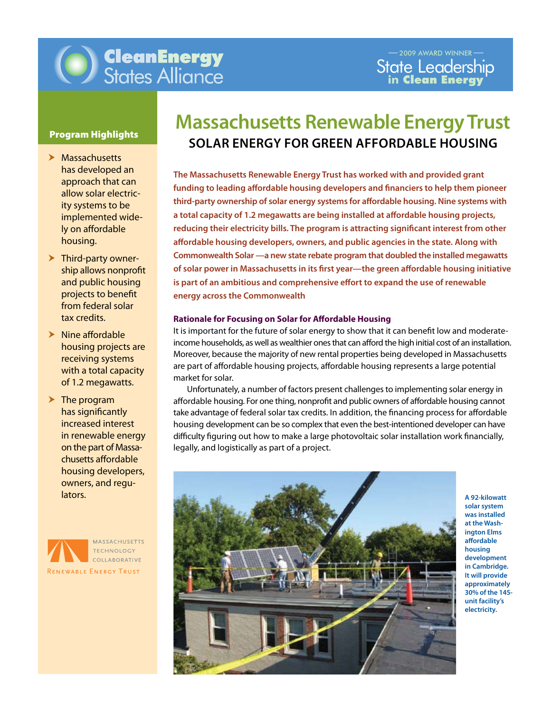

- $\blacktriangleright$  Massachusetts has developed an approach that can allow solar electricity systems to be implemented widely on affordable housing.
- $\blacktriangleright$  Third-party ownership allows nonprofit and public housing projects to benefit from federal solar tax credits.
- $\blacktriangleright$  Nine affordable housing projects are receiving systems with a total capacity of 1.2 megawatts.
- $\blacktriangleright$  The program has significantly increased interest in renewable energy on the part of Massachusetts affordable housing developers, owners, and regulators.



# **Massachusetts Renewable Energy Trust Program Highlights SOLAR ENERGY FOR GREEN AFFORDABLE HOUSING**

Innovation in Finance, Technology & Policy & Policy & Policy & Policy & Policy & Policy & Policy & Policy & Po **The Massachusetts Renewable Energy Trust has worked with and provided grant funding to leading affordable housing developers and financiers to help them pioneer third-party ownership of solar energy systems for affordable housing. Nine systems with a total capacity of 1.2 megawatts are being installed at affordable housing projects, reducing their electricity bills. The program is attracting significant interest from other affordable housing developers, owners, and public agencies in the state. Along with Commonwealth Solar —a new state rebate program that doubled the installed megawatts of solar power in Massachusetts in its first year—the green affordable housing initiative is part of an ambitious and comprehensive effort to expand the use of renewable energy across the Commonwealth**

## **Rationale for Focusing on Solar for Affordable Housing**

It is important for the future of solar energy to show that it can benefit low and moderateincome households, as well as wealthier ones that can afford the high initial cost of an installation. Moreover, because the majority of new rental properties being developed in Massachusetts are part of affordable housing projects, affordable housing represents a large potential market for solar.

affordable housing. For one thing, nonprofit and public owners of affordable housing cannot Unfortunately, a number of factors present challengesto implementing solar energy in take advantage of federal solar tax credits. In addition, the financing process for affordable housing development can be so complex that even the best-intentioned developer can have difficulty figuring out how to make a large photovoltaic solar installation work financially, legally, and logistically as part of a project.



**A 92-kilowatt solar system was installed at the Washington Elms affordable housing development in Cambridge. It will provide approximately 30% of the 145 unit facility's electricity.**